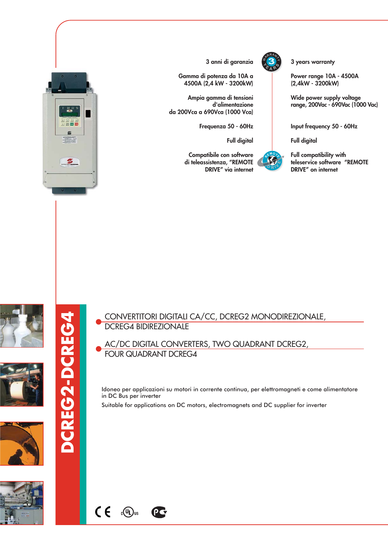**3 anni di garanzia**

**Gamma di potenza da 10A a 4500A (2,4 kW - 3200kW)**

**Ampia gamma di tensioni d'alimentazione da 200Vca a 690Vca (1000 Vca)**

**Frequenza 50 - 60Hz**

**Full digital**

**Compatibile con software di teleassistenza, "REMOTE DRIVE" via internet**













 $C \in$ 

 $\mathfrak{g}(\mathbb{U}_L)$ us

**PG** 

Idoneo per applicazioni su motori in corrente continua, per elettromagneti e come alimentatore in DC Bus per inverter

Suitable for applications on DC motors, electromagnets and DC supplier for inverter

CONVERTITORI DIGITALI CA/CC, DCREG2 MONODIREZIONALE,

AC/DC DIGITAL CONVERTERS, TWO QUADRANT DCREG2,

DCREG4 BIDIREZIONALE

FOUR QUADRANT DCREG4



**3 years warranty**

**Power range 10A - 4500A (2,4kW - 3200kW)**

**Wide power supply voltage range, 200Vac - 690Vac (1000 Vac)**

**Input frequency 50 - 60Hz**

**Full digital**



**Full compatibility with teleservice software "REMOTE DRIVE" on internet**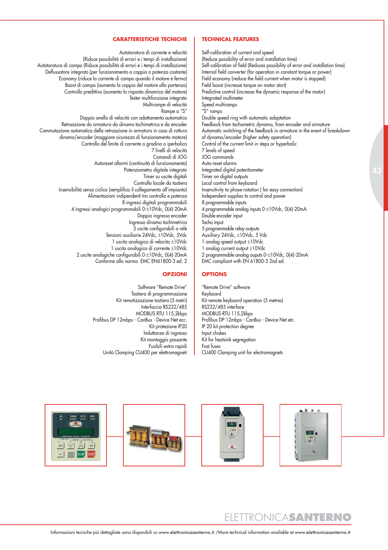## **CARATTERISTICHE TECNICHE**

Autotaratura di corrente e velocità (Riduce possibilità di errori e i tempi di installazione) Autotaratura di campo (Riduce possibilità di errori e i tempi di installazione) Deflussatore integrato (per funzionamento a coppia o potenza costante) Economy (riduce la corrente di campo quando il motore è fermo) Boost di campo (aumenta la coppia del motore alla partenza) Controllo predittivo (aumenta la risposta dinamica del motore) Tester multifunzione integrato Multirampe di velocità Rampe a "S" Doppio anello di velocità con adattamento automatico Retroazione da armatura da dinamo tachimetrica e da encoder Commutazione automatica della retroazione in armatura in caso di rottura dinamo/encoder (maggiore sicurezza di funzionamento motore) Controllo del limite di corrente a gradino o iperbolico 7 livelli di velocità Comandi di JOG Autoreset allarmi (continuità di funzionamento) Potenziometro digitale integrato Timer su uscite digitali Controllo locale da tastiera Insensibilità senso ciclico (semplifica il collegamento all'impianto) Alimentazioni indipendenti tra controllo e potenza 8 ingressi digitali programmabili 4 ingressi analogici programmabili 0-±10Vdc, 0(4)-20mA Doppio ingresso encoder Ingresso dinamo tachimetrica 5 uscite configurabili a relè Tensioni ausiliarie 24Vdc, ±10Vdc, 5Vdc 1 uscita analogica di velocita ±10Vdc 1 uscita analogica di corrente ±10Vdc 2 uscite analogiche configurabili 0-±10Vdc, 0(4)-20mA Conforme alla norma EMC EN61800-3 ed. 2

#### **OPZIONI**

Software "Remote Drive" Tastiera di programmazione Kit remotizzazione tastiera (5 metri) Interfaccia RS232/485 MODBUS RTU 115,2kbps Profibus DP 12mbps - CanBus - Device Net ecc. Kit protezione IP20 Induttanze di ingresso Kit montaggio passante Fusibili extra rapidi Unità Clamping CU400 per elettromagneti

### **TECHNICAL FEATURES**

Self-calibration of current and speed (Reduce possibility of error and installation time) Self-calibration of field (Reduces possibility of error and installation time) Internal field converter (for operation in constant torque or power) Field economy (reduce the field current when motor is stopped) Field boost (increase torque on motor start) Predictive control (increase the dynamic response of the motor) Integrated multimeter Speed multiramps "S" ramps Double speed ring with automatic adaptation Feedback from tachometric dynamo, from encoder and armature Automatic switching of the feedback in armature in the event of breakdown of dynamo/encoder (higher safety operation) Control of the current limit in steps or hyperbolic 7 levels of speed JOG commands Auto-reset alarms Integrated digital potentiometer Timer on digital outputs Local control from keyboard Insensitivity to phase-rotation ( for easy connection) Independent supplies to control and power 8 programmable inputs 4 programmable analog inputs 0-±10Vdc, 0(4)-20mA Double encoder input Tacho input 5 programmable relay outputs Auxiliary 24Vdc, ±10Vdc, 5 Vdc 1 analog speed output ±10Vdc 1 analog current output ±10Vdc 2 programmable analog ouputs 0-±10Vdc, 0(4)-20mA

EMC compliant with EN 61800-3 2nd ed.

#### **OPTIONS**

"Remote Drive" software Keyboard Kit remote keyboard operation (5 metres) RS232/485 interface MODBUS RTU 115,2kbps Profibus DP 12mbps - CanBus - Device Net etc. IP 20 kit protection degree Input chokes Kit for heatsink segregation Fast fuses CU400 Clamping unit for electromagnets



# ELETTRONICA**SANTERNO**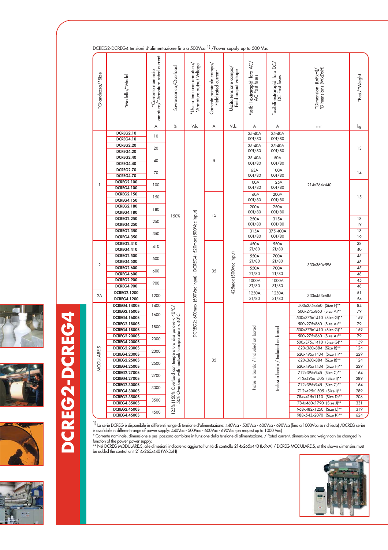

**DCREG2-DCREG4**

**DCREG2-DCREG4** 





| *Grandezza/*Size | *Modello/*Model                                          | amatura/*Armature rated current<br>*Corrente nominale                             | Sovraccarico/Overload                                                                      | *Armature output Voltage<br>*Uscita tensione armatura,        | Corrente nominale campo/<br>Field rated current | Uscita tensione campo/<br>Field output voltage | Fusibili extrarapidi lato AC/<br>AC Fast fuses | Fusibili extrarapidi lato DC/<br>DC Fast fuses | *Dimensions (WxDxH)<br>*Dimensioni (LxPxH)/ | *Pesi/*Weight |
|------------------|----------------------------------------------------------|-----------------------------------------------------------------------------------|--------------------------------------------------------------------------------------------|---------------------------------------------------------------|-------------------------------------------------|------------------------------------------------|------------------------------------------------|------------------------------------------------|---------------------------------------------|---------------|
|                  |                                                          | A                                                                                 | $\%$                                                                                       | Vdc<br>Vdc<br>A<br>A<br>Α                                     |                                                 |                                                | mm                                             | kg                                             |                                             |               |
|                  | <b>DCREG2.10</b>                                         | 10                                                                                |                                                                                            |                                                               |                                                 |                                                | 35-40A                                         | 35-40A                                         |                                             | 13            |
|                  | <b>DCREG4.10</b>                                         |                                                                                   |                                                                                            |                                                               |                                                 |                                                | 00T/80                                         | 00T/80                                         |                                             |               |
|                  | <b>DCREG2.20</b>                                         | 20                                                                                |                                                                                            |                                                               |                                                 |                                                | 35-40A                                         | 35-40A                                         |                                             |               |
|                  | <b>DCREG4.20</b>                                         |                                                                                   |                                                                                            |                                                               |                                                 |                                                | 00T/80                                         | 00T/80                                         |                                             |               |
|                  | <b>DCREG2.40</b>                                         | 40                                                                                |                                                                                            |                                                               | 5                                               |                                                | 35-40A                                         | 50A                                            |                                             |               |
|                  | <b>DCREG4.40</b>                                         |                                                                                   |                                                                                            |                                                               |                                                 |                                                | 00T/80                                         | 00T/80                                         |                                             |               |
|                  | <b>DCREG2.70</b>                                         | 70                                                                                |                                                                                            |                                                               |                                                 |                                                | 63A                                            | 100A                                           |                                             | 14            |
|                  | <b>DCREG4.70</b>                                         |                                                                                   |                                                                                            |                                                               |                                                 |                                                | 00T/80                                         | 00T/80                                         |                                             |               |
| 1                | <b>DCREG2.100</b>                                        | 100                                                                               |                                                                                            |                                                               |                                                 |                                                | 100A                                           | 125A                                           | 214x264x440                                 |               |
|                  | <b>DCREG4.100</b>                                        |                                                                                   |                                                                                            |                                                               |                                                 |                                                | 00T/80                                         | 00T/80                                         |                                             |               |
|                  | <b>DCREG2.150</b>                                        | 150                                                                               |                                                                                            |                                                               |                                                 |                                                | 160A                                           | 200A                                           |                                             | 15            |
|                  | <b>DCREG4.150</b>                                        |                                                                                   | 150%                                                                                       |                                                               |                                                 |                                                | 00T/80                                         | 00T/80                                         |                                             |               |
|                  | <b>DCREG2.180</b>                                        | 180                                                                               |                                                                                            |                                                               | 15<br>35                                        |                                                | 200A                                           | 250A                                           |                                             |               |
|                  | <b>DCREG4.180</b>                                        |                                                                                   |                                                                                            |                                                               |                                                 | 425max (500Vac input)                          | 00T/80                                         | 00T/80                                         |                                             |               |
|                  | <b>DCREG2.250</b>                                        | 250                                                                               |                                                                                            | DCREG2: 600max (500Vac input) - DCREG4: 520max (500Vac input) |                                                 |                                                | 250A                                           | 315A                                           |                                             | 18            |
|                  | <b>DCREG4.250</b>                                        | 350                                                                               |                                                                                            |                                                               |                                                 |                                                | 00T/80                                         | 00T/80                                         |                                             | 19            |
|                  | <b>DCREG2.350</b>                                        |                                                                                   |                                                                                            |                                                               |                                                 |                                                | 315A<br>00T/80                                 | 375-400A<br>00T/80                             |                                             | 18            |
|                  | <b>DCREG4.350</b>                                        |                                                                                   |                                                                                            |                                                               |                                                 |                                                |                                                |                                                |                                             | 19            |
|                  | <b>DCREG2.410</b>                                        | 410                                                                               |                                                                                            |                                                               |                                                 |                                                | 450A<br>2T/80                                  | 550A<br>2T/80                                  |                                             | 38            |
|                  | <b>DCREG4.410</b>                                        |                                                                                   |                                                                                            |                                                               |                                                 |                                                |                                                |                                                | 333x360x596                                 | 40<br>45      |
|                  | <b>DCREG2.500</b>                                        | 500                                                                               |                                                                                            |                                                               |                                                 |                                                | 550A<br>2T/80                                  | 700A<br>2T/80                                  |                                             | 48            |
| $\overline{2}$   | <b>DCREG4.500</b><br><b>DCREG2.600</b>                   |                                                                                   |                                                                                            |                                                               |                                                 |                                                |                                                |                                                |                                             | 45            |
|                  | <b>DCREG4.600</b>                                        | 600                                                                               |                                                                                            |                                                               |                                                 |                                                | 550A<br>2T/80                                  | 700A<br>2T/80                                  |                                             | 48            |
|                  | <b>DCREG2.900</b>                                        | 900<br>1200                                                                       |                                                                                            |                                                               |                                                 |                                                |                                                |                                                |                                             | 45            |
|                  | <b>DCREG4.900</b>                                        |                                                                                   |                                                                                            |                                                               |                                                 |                                                | 1000A<br>3T/80                                 | 1000A<br>3T/80                                 |                                             | 48            |
|                  |                                                          |                                                                                   |                                                                                            |                                                               |                                                 |                                                |                                                |                                                |                                             | 51            |
| 2A               | <b>DCREG2.1200</b><br><b>DCREG4.1200</b>                 |                                                                                   |                                                                                            |                                                               |                                                 |                                                | 1250A<br>3T/80                                 | 1250A<br>3T/80                                 | 333x453x685                                 | 54            |
|                  | <b>DCREG4.1400S</b>                                      | 1400                                                                              |                                                                                            |                                                               |                                                 |                                                |                                                |                                                | 500x275x860<br>(Size F)**                   | 84            |
|                  |                                                          | <b>DCREG2.1600S</b><br>1600<br><b>DCREG4.1600S</b><br><b>DCREG2.1800S</b><br>1800 |                                                                                            |                                                               |                                                 |                                                |                                                |                                                | 500x275x860<br>(Size A)**                   | 79            |
|                  |                                                          |                                                                                   |                                                                                            |                                                               |                                                 |                                                |                                                |                                                | 500x375x1410<br>(Size G)**                  | 159           |
|                  |                                                          |                                                                                   |                                                                                            |                                                               |                                                 |                                                |                                                |                                                | 500x275x860<br>(Size A)**                   | 79            |
|                  | <b>DCREG4.1800S</b>                                      |                                                                                   |                                                                                            |                                                               |                                                 |                                                |                                                | on borad<br>Inclusi a bordo / Included         | 500x375x1410<br>(Size G)**                  | 159           |
|                  | <b>DCREG2.2000S</b>                                      | 2000                                                                              |                                                                                            |                                                               |                                                 |                                                | on borad                                       |                                                | 500x275x860 (Size A)**                      | 79            |
|                  | <b>DCREG4.2000S</b>                                      |                                                                                   | perature $<$ 40°C                                                                          |                                                               |                                                 |                                                |                                                |                                                | 500x375x1410 (Size G)**                     | 159           |
|                  | <b>DCREG2.2300S</b>                                      | 2300<br><b>DCREG4.2300S</b>                                                       | 125% (150% Overload con temperatura dissipatore < 40°C/<br>50% Overload with heatsink teme |                                                               |                                                 |                                                | Inclusi a bordo / Included                     |                                                | 620x360x884 (Size B)**                      | 124           |
|                  |                                                          |                                                                                   |                                                                                            |                                                               |                                                 |                                                |                                                |                                                | 620x495x1434 (Size H)**                     | 229           |
|                  | MODULARE.S<br><b>DCREG2.2500S</b><br><b>DCREG4.2500S</b> | 2500                                                                              |                                                                                            |                                                               | 35                                              |                                                |                                                |                                                | 620x360x884 (Size B)**                      | 124           |
|                  |                                                          |                                                                                   |                                                                                            |                                                               |                                                 |                                                |                                                |                                                | 620x495x1434 (Size H)**                     | 229           |
|                  | <b>DCREG2.2700S</b>                                      |                                                                                   |                                                                                            |                                                               |                                                 |                                                |                                                |                                                | 712x395x945 (Size C)**                      | 164           |
|                  | <b>DCREG4.2700S</b>                                      | 2700                                                                              |                                                                                            |                                                               |                                                 |                                                |                                                |                                                | 712x495x1505 (Size I)**                     | 289           |
|                  | <b>DCREG2.3000S</b>                                      |                                                                                   |                                                                                            |                                                               |                                                 |                                                |                                                |                                                | 712x395x945 (Size C)**                      | 164           |
|                  | <b>DCREG4.3000S</b>                                      | 3000                                                                              |                                                                                            |                                                               |                                                 |                                                |                                                |                                                | 712x495x1505 (Size I)**                     | 289           |
|                  | <b>DCREG2.3500S</b>                                      | 3500                                                                              |                                                                                            |                                                               |                                                 |                                                |                                                |                                                | 784x415x1110 (Size D)**                     | 206           |
|                  | <b>DCREG4.3500S</b>                                      |                                                                                   |                                                                                            |                                                               |                                                 |                                                |                                                |                                                | 784x460x1790 (Size J)**                     | 331           |
|                  | <b>DCREG2.4500S</b>                                      | 4500                                                                              |                                                                                            |                                                               |                                                 |                                                |                                                |                                                | 968x482x1250 (Size E)**                     | 319           |
|                  | <b>DCREG4.4500S</b>                                      |                                                                                   |                                                                                            |                                                               |                                                 |                                                |                                                |                                                | 988x543x2070 (Size K)**                     | 624           |

DCREG2-DCREG4 tensioni d'alimentazione fino a 500Vca<sup>1)</sup> / Power supply up to 500 Vac

1) La serie DCREG è disponibile in differenti range di tensione d'alimentazione: 440Vca - 500Vca - 600Vca - 690Vca (fino a 1000Vca su richiesta) /DCREG series

is available in different range of power supply: 440Vac - 500Vac - 600Vac - 690Vac (on request up to 1000 Vac)<br>\* Corrente nominale, dimensione e pesi possono cambiare in funzione della tensione di alimentazione. / Rated cu

function of the power power supply.<br>\*\* Nel DCREG MODULARE.S, alle dimesioni indicate va aggiunta l'unità di controllo 214x265x440 (LxPxA) / DCREG MODULARE.S, at the shown dimensins must<br>be added the control unit 214x265x44